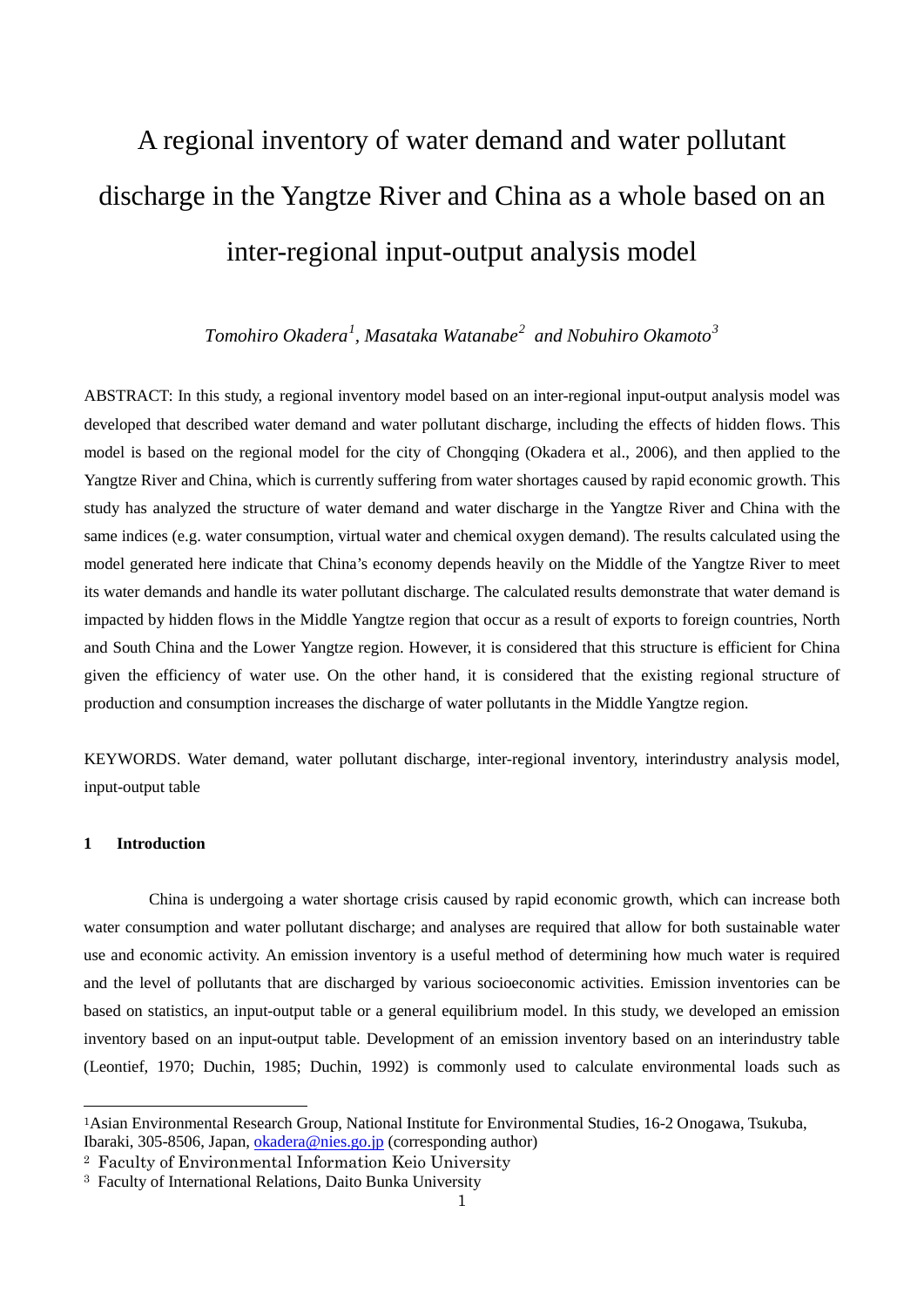# A regional inventory of water demand and water pollutant discharge in the Yangtze River and China as a whole based on an inter-regional input-output analysis model

*Tomohiro Okadera[1](#page-0-0) , Masataka Watanabe[2](#page-0-1) and Nobuhiro Okamoto[3](#page-0-2)*

ABSTRACT: In this study, a regional inventory model based on an inter-regional input-output analysis model was developed that described water demand and water pollutant discharge, including the effects of hidden flows. This model is based on the regional model for the city of Chongqing (Okadera et al., 2006), and then applied to the Yangtze River and China, which is currently suffering from water shortages caused by rapid economic growth. This study has analyzed the structure of water demand and water discharge in the Yangtze River and China with the same indices (e.g. water consumption, virtual water and chemical oxygen demand). The results calculated using the model generated here indicate that China's economy depends heavily on the Middle of the Yangtze River to meet its water demands and handle its water pollutant discharge. The calculated results demonstrate that water demand is impacted by hidden flows in the Middle Yangtze region that occur as a result of exports to foreign countries, North and South China and the Lower Yangtze region. However, it is considered that this structure is efficient for China given the efficiency of water use. On the other hand, it is considered that the existing regional structure of production and consumption increases the discharge of water pollutants in the Middle Yangtze region.

KEYWORDS. Water demand, water pollutant discharge, inter-regional inventory, interindustry analysis model, input-output table

## **1 Introduction**

China is undergoing a water shortage crisis caused by rapid economic growth, which can increase both water consumption and water pollutant discharge; and analyses are required that allow for both sustainable water use and economic activity. An emission inventory is a useful method of determining how much water is required and the level of pollutants that are discharged by various socioeconomic activities. Emission inventories can be based on statistics, an input-output table or a general equilibrium model. In this study, we developed an emission inventory based on an input-output table. Development of an emission inventory based on an interindustry table (Leontief, 1970; Duchin, 1985; Duchin, 1992) is commonly used to calculate environmental loads such as

<span id="page-0-0"></span> <sup>1</sup>Asian Environmental Research Group, National Institute for Environmental Studies, 16-2 Onogawa, Tsukuba, Ibaraki, 305-8506, Japan, [okadera@nies.go.jp](mailto:okadera@nies.go.jp) (corresponding author)

<span id="page-0-1"></span><sup>2</sup> Faculty of Environmental Information Keio University

<span id="page-0-2"></span><sup>3</sup> Faculty of International Relations, Daito Bunka University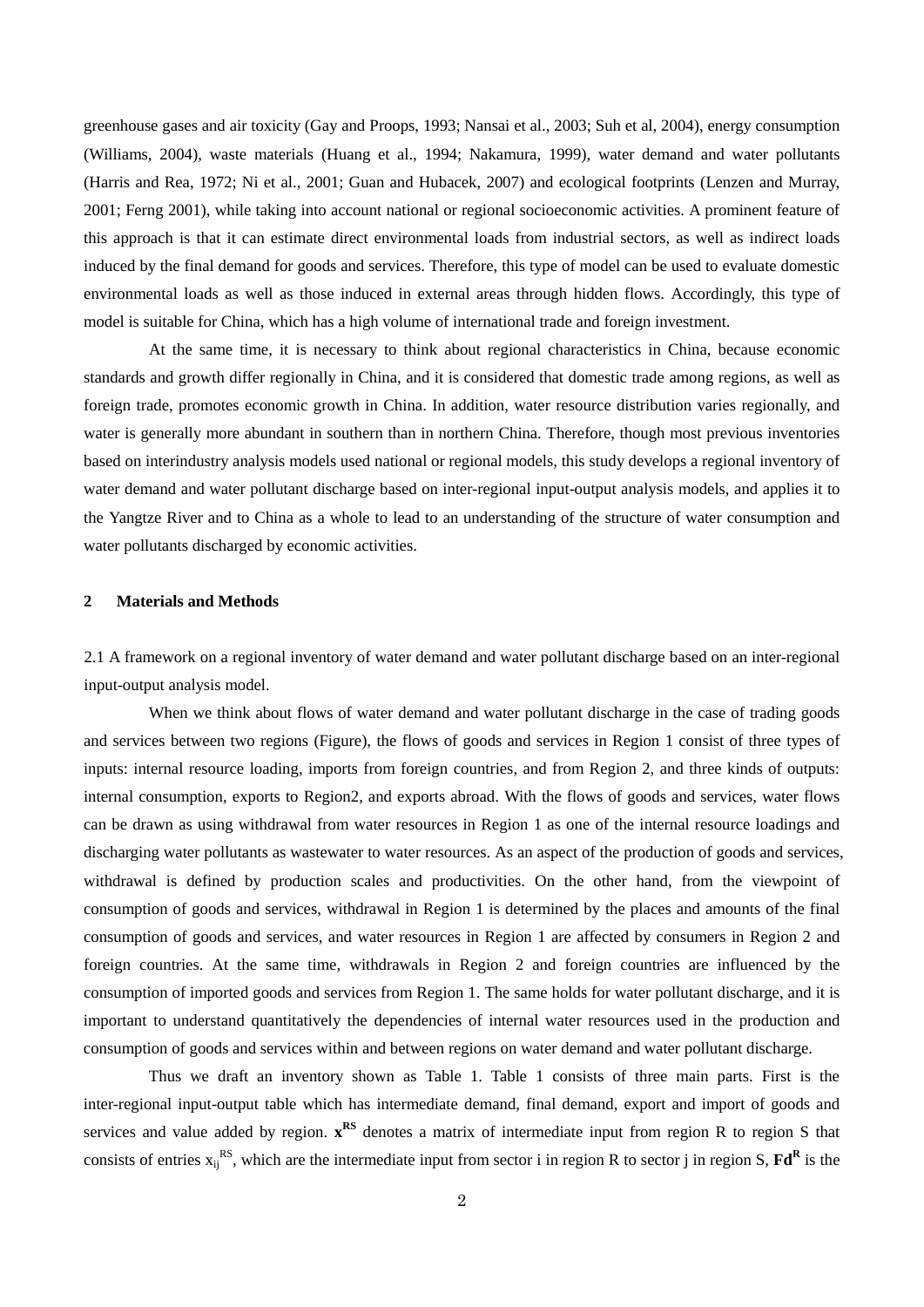greenhouse gases and air toxicity (Gay and Proops, 1993; Nansai et al., 2003; Suh et al, 2004), energy consumption (Williams, 2004), waste materials (Huang et al., 1994; Nakamura, 1999), water demand and water pollutants (Harris and Rea, 1972; Ni et al., 2001; Guan and Hubacek, 2007) and ecological footprints (Lenzen and Murray, 2001; Ferng 2001), while taking into account national or regional socioeconomic activities. A prominent feature of this approach is that it can estimate direct environmental loads from industrial sectors, as well as indirect loads induced by the final demand for goods and services. Therefore, this type of model can be used to evaluate domestic environmental loads as well as those induced in external areas through hidden flows. Accordingly, this type of model is suitable for China, which has a high volume of international trade and foreign investment.

At the same time, it is necessary to think about regional characteristics in China, because economic standards and growth differ regionally in China, and it is considered that domestic trade among regions, as well as foreign trade, promotes economic growth in China. In addition, water resource distribution varies regionally, and water is generally more abundant in southern than in northern China. Therefore, though most previous inventories based on interindustry analysis models used national or regional models, this study develops a regional inventory of water demand and water pollutant discharge based on inter-regional input-output analysis models, and applies it to the Yangtze River and to China as a whole to lead to an understanding of the structure of water consumption and water pollutants discharged by economic activities.

# **2 Materials and Methods**

2.1 A framework on a regional inventory of water demand and water pollutant discharge based on an inter-regional input-output analysis model.

When we think about flows of water demand and water pollutant discharge in the case of trading goods and services between two regions (Figure), the flows of goods and services in Region 1 consist of three types of inputs: internal resource loading, imports from foreign countries, and from Region 2, and three kinds of outputs: internal consumption, exports to Region2, and exports abroad. With the flows of goods and services, water flows can be drawn as using withdrawal from water resources in Region 1 as one of the internal resource loadings and discharging water pollutants as wastewater to water resources. As an aspect of the production of goods and services, withdrawal is defined by production scales and productivities. On the other hand, from the viewpoint of consumption of goods and services, withdrawal in Region 1 is determined by the places and amounts of the final consumption of goods and services, and water resources in Region 1 are affected by consumers in Region 2 and foreign countries. At the same time, withdrawals in Region 2 and foreign countries are influenced by the consumption of imported goods and services from Region 1. The same holds for water pollutant discharge, and it is important to understand quantitatively the dependencies of internal water resources used in the production and consumption of goods and services within and between regions on water demand and water pollutant discharge.

Thus we draft an inventory shown as Table 1. Table 1 consists of three main parts. First is the inter-regional input-output table which has intermediate demand, final demand, export and import of goods and services and value added by region.  $x^{RS}$  denotes a matrix of intermediate input from region R to region S that consists of entries  $x_{ij}^{RS}$ , which are the intermediate input from sector i in region R to sector j in region S,  $Fd^R$  is the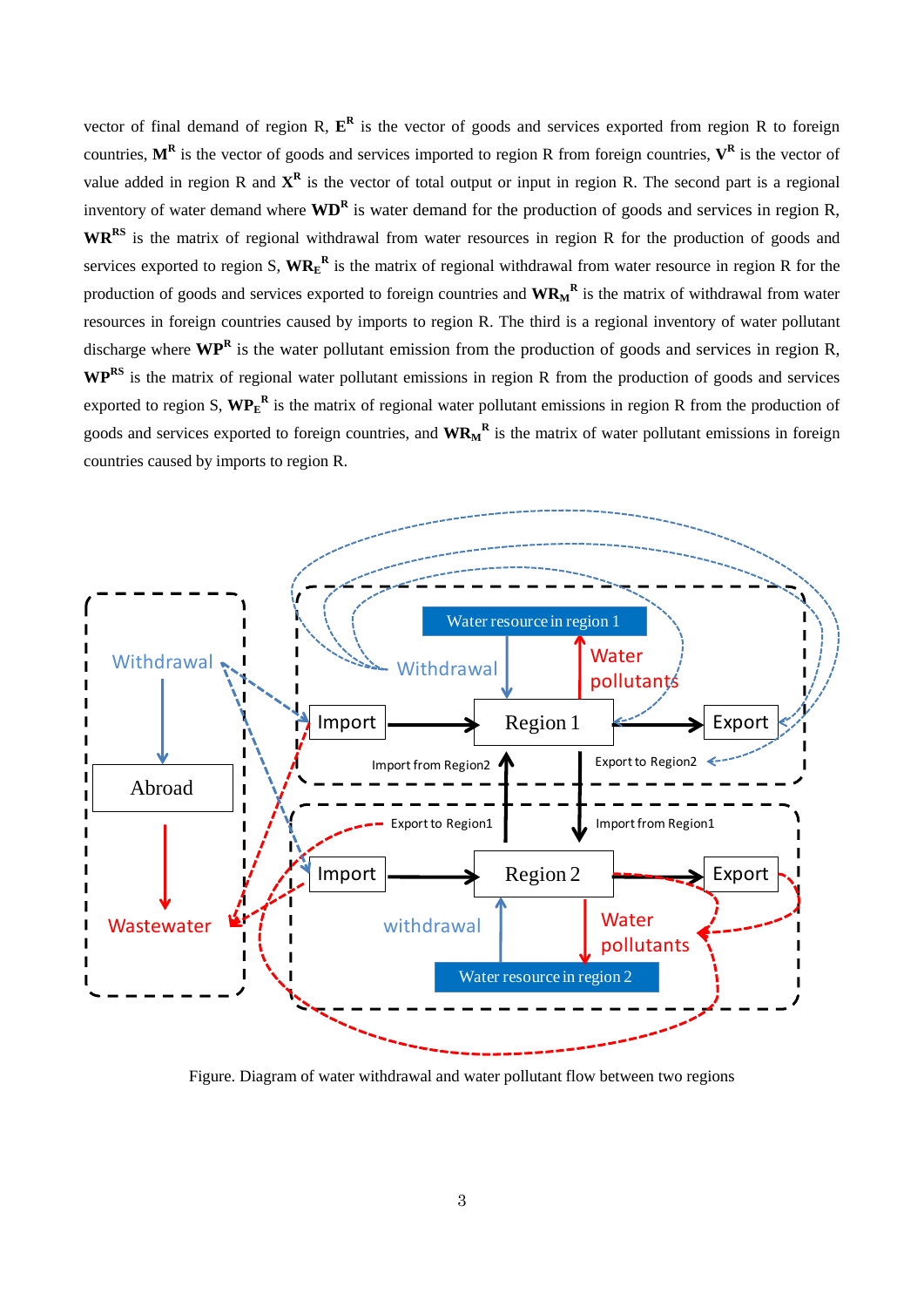vector of final demand of region R,  $E^R$  is the vector of goods and services exported from region R to foreign countries,  $M^R$  is the vector of goods and services imported to region R from foreign countries,  $V^R$  is the vector of value added in region R and  $X^R$  is the vector of total output or input in region R. The second part is a regional inventory of water demand where  $\bf{WD}^R$  is water demand for the production of goods and services in region R, **WRRS** is the matrix of regional withdrawal from water resources in region R for the production of goods and services exported to region S,  $W{R_E}^R$  is the matrix of regional withdrawal from water resource in region R for the production of goods and services exported to foreign countries and  $WR_M^R$  is the matrix of withdrawal from water resources in foreign countries caused by imports to region R. The third is a regional inventory of water pollutant discharge where **WP<sup>R</sup>** is the water pollutant emission from the production of goods and services in region R, **WPRS** is the matrix of regional water pollutant emissions in region R from the production of goods and services exported to region S,  $W{P_E}^R$  is the matrix of regional water pollutant emissions in region R from the production of goods and services exported to foreign countries, and **WRM <sup>R</sup>** is the matrix of water pollutant emissions in foreign countries caused by imports to region R.



Figure. Diagram of water withdrawal and water pollutant flow between two regions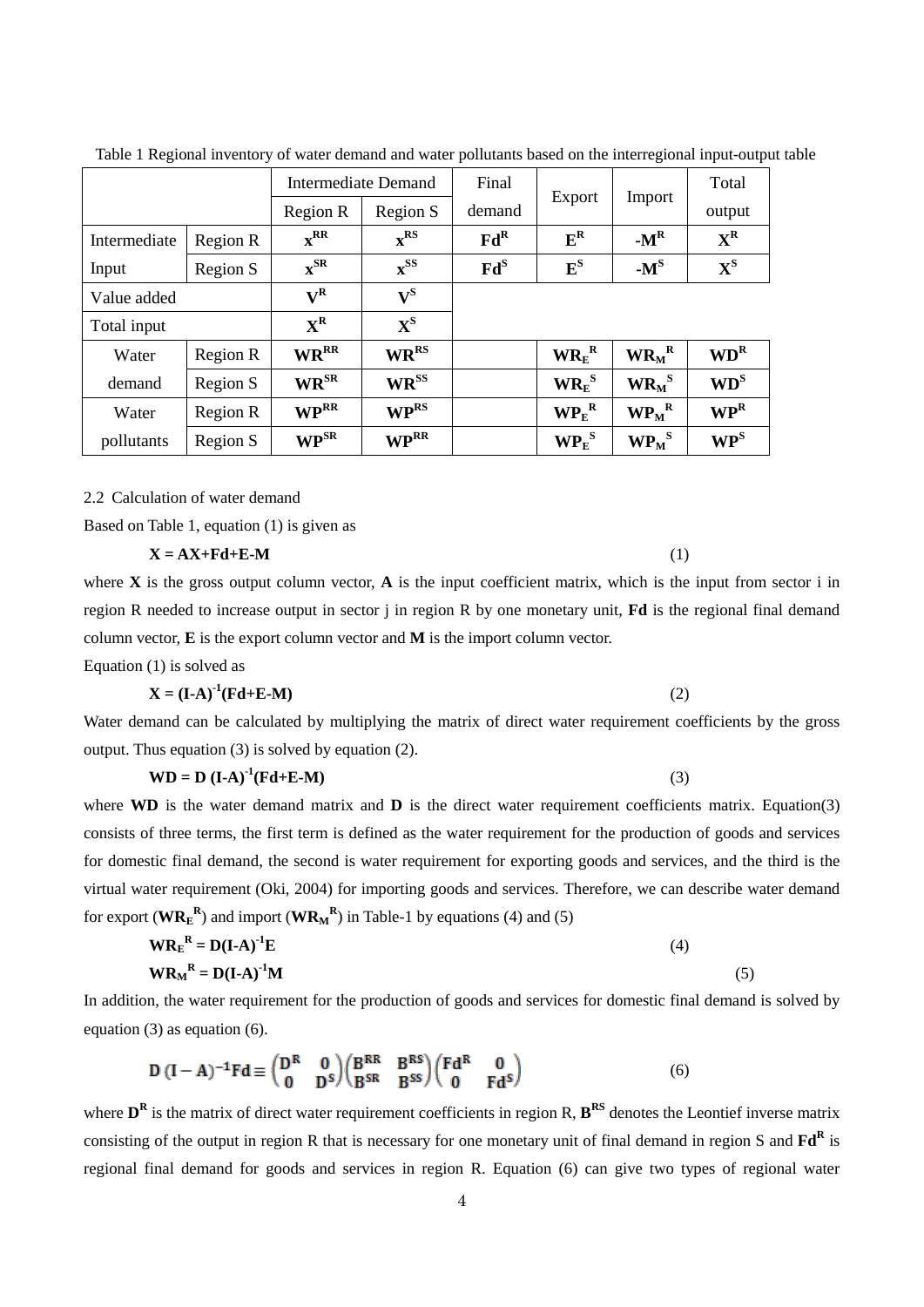|              |          |                                    | Intermediate Demand      | Final                      | Export                                            |                                         | Total                      |
|--------------|----------|------------------------------------|--------------------------|----------------------------|---------------------------------------------------|-----------------------------------------|----------------------------|
|              |          | Region R                           | Region S                 | demand                     |                                                   | Import                                  | output                     |
| Intermediate | Region R | $\mathbf{x}^{\mathbf{RR}}$         | $\mathbf{x}^{\rm RS}$    | Fd <sup>R</sup>            | $E^R$                                             | $-M^R$                                  | $X^R$                      |
| Input        | Region S | $\mathbf{x}^{\text{SR}}$           | $\mathbf{x}^{\text{SS}}$ | $\mathbf{Fd}^{\mathbf{S}}$ | ${\bf E^S}$                                       | $-M^S$                                  | $\mathbf{X}^{\mathbf{S}}$  |
| Value added  |          | $\mathbf{V}^{\mathbf{R}}$          | ${\bf V}^{\rm S}$        |                            |                                                   |                                         |                            |
| Total input  |          | $X^R$                              | ${\bf X}^{\rm S}$        |                            |                                                   |                                         |                            |
| Water        | Region R | <b>WRRR</b>                        | <b>WR</b> <sup>RS</sup>  |                            | $\mathbf{W} \mathbf{R}_{\mathrm{E}}^{\mathrm{R}}$ | $\mathbf{WR}_{\mathbf{M}}^{\mathbf{R}}$ | WD <sup>R</sup>            |
| demand       | Region S | $\mathbf{W}\mathbf{R}^{\text{SR}}$ | $\bf{WR}^{\rm SS}$       |                            | $\mathbf{WR}_{\mathrm{E}}^{\mathrm{s}}$           | $\mathbf{WR}_{\mathbf{M}}^{\mathbf{S}}$ | $WD^S$                     |
| Water        | Region R | <b>WPRR</b>                        | <b>WPRS</b>              |                            | $\mathbf{WP}_{E}^{R}$                             | $\bf{WP}_M{}^R$                         | $\mathbf{WP}^{\mathbf{R}}$ |
| pollutants   | Region S | $\mathbf{WP}^{\text{SR}}$          | <b>WPRR</b>              |                            | $\mathbf{WP}_{\mathrm{E}}^{\mathrm{S}}$           | $W{P_M}^S$                              | $\mathbf{WP}^{\mathbf{S}}$ |

Table 1 Regional inventory of water demand and water pollutants based on the interregional input-output table

2.2 Calculation of water demand

Based on Table 1, equation (1) is given as

$$
X = AX + Fd + E - M
$$
 (1)

where  $X$  is the gross output column vector,  $A$  is the input coefficient matrix, which is the input from sector i in region R needed to increase output in sector j in region R by one monetary unit, **Fd** is the regional final demand column vector, **E** is the export column vector and **M** is the import column vector.

Equation (1) is solved as

$$
\mathbf{X} = (\mathbf{I} \cdot \mathbf{A})^{-1} (\mathbf{F} \mathbf{d} + \mathbf{E} \cdot \mathbf{M})
$$
 (2)

Water demand can be calculated by multiplying the matrix of direct water requirement coefficients by the gross output. Thus equation (3) is solved by equation (2).

$$
WD = D (I-A)^{-1}(Fd+E-M)
$$
 (3)

where **WD** is the water demand matrix and **D** is the direct water requirement coefficients matrix. Equation(3) consists of three terms, the first term is defined as the water requirement for the production of goods and services for domestic final demand, the second is water requirement for exporting goods and services, and the third is the virtual water requirement (Oki, 2004) for importing goods and services. Therefore, we can describe water demand for export  $(\mathbf{WR}_{\mathbf{E}}^{R})$  and import  $(\mathbf{WR}_{M}^{R})$  in Table-1 by equations (4) and (5)

$$
W{R_E}^R = D(I-A)^{-1}E
$$
  
\n
$$
W{R_M}^R = D(I-A)^{-1}M
$$
\n(4)

In addition, the water requirement for the production of goods and services for domestic final demand is solved by equation (3) as equation (6).

$$
D (I - A)^{-1} Fd \equiv \begin{pmatrix} D^R & 0 \\ 0 & D^S \end{pmatrix} \begin{pmatrix} B^{RR} & B^{RS} \\ B^{SR} & B^{SS} \end{pmatrix} \begin{pmatrix} Fd^R & 0 \\ 0 & Fd^S \end{pmatrix}
$$
(6)

where  $D^R$  is the matrix of direct water requirement coefficients in region R,  $B^{RS}$  denotes the Leontief inverse matrix consisting of the output in region R that is necessary for one monetary unit of final demand in region S and **Fd<sup>R</sup>** is regional final demand for goods and services in region R. Equation (6) can give two types of regional water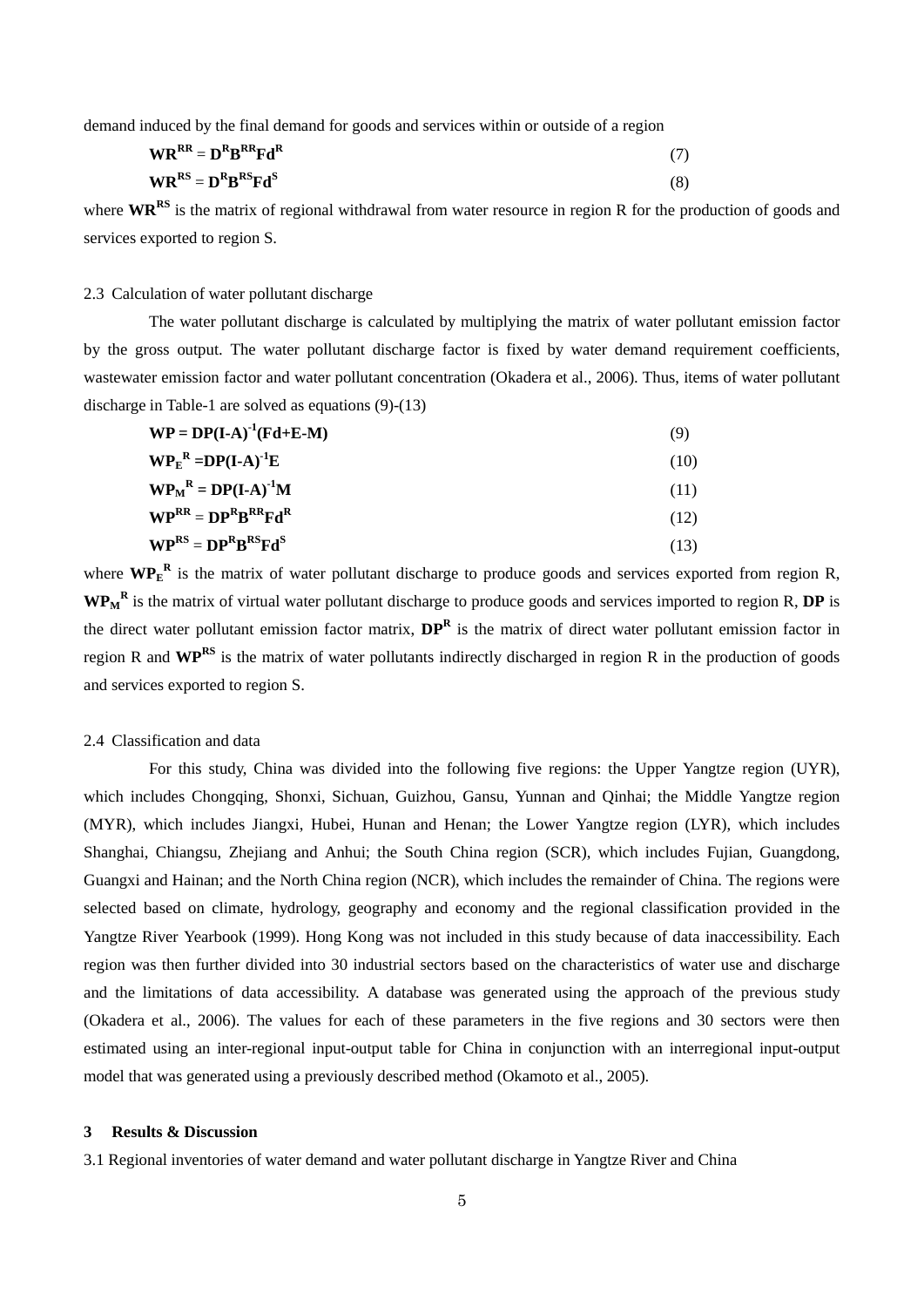demand induced by the final demand for goods and services within or outside of a region

| $\mathbf{W}\mathbf{R}^{\mathbf{R}\mathbf{R}} = \mathbf{D}^{\mathbf{R}}\mathbf{B}^{\mathbf{R}\mathbf{R}}\mathbf{F}\mathbf{d}^{\mathbf{R}}$ |  |
|-------------------------------------------------------------------------------------------------------------------------------------------|--|
| $\mathbf{W}\mathbf{R}^{\text{RS}} = \mathbf{D}^{\text{R}}\mathbf{B}^{\text{RS}}\mathbf{F}\mathbf{d}^{\text{S}}$                           |  |

where **WR<sup>RS</sup>** is the matrix of regional withdrawal from water resource in region R for the production of goods and services exported to region S.

# 2.3 Calculation of water pollutant discharge

The water pollutant discharge is calculated by multiplying the matrix of water pollutant emission factor by the gross output. The water pollutant discharge factor is fixed by water demand requirement coefficients, wastewater emission factor and water pollutant concentration (Okadera et al., 2006). Thus, items of water pollutant discharge in Table-1 are solved as equations (9)-(13)

| $\mathbf{WP} = \mathbf{DP}(\mathbf{I}\text{-}\mathbf{A})^{-1}(\mathbf{Fd} + \mathbf{E}\text{-}\mathbf{M})$ | (9)  |
|------------------------------------------------------------------------------------------------------------|------|
| $W{P_E}^R = DP(I-A)^{-1}E$                                                                                 | (10) |
| $W P_M^R = DP(I-A)^{-1}M$                                                                                  | (11) |
| $\mathbf{WP}^{\mathbf{RR}} = \mathbf{DP}^{\mathbf{R}}\mathbf{B}^{\mathbf{RR}}\mathbf{Fd}^{\mathbf{R}}$     | (12) |
| $\mathbf{WP}^{\rm RS} = \mathbf{DP}^{\rm R}\mathbf{B}^{\rm RS}\mathbf{Fd}^{\rm S}$                         | (13) |

where  $\text{WP}_E^R$  is the matrix of water pollutant discharge to produce goods and services exported from region R, **WPM <sup>R</sup>** is the matrix of virtual water pollutant discharge to produce goods and services imported to region R, **DP** is the direct water pollutant emission factor matrix, **DP<sup>R</sup>** is the matrix of direct water pollutant emission factor in region R and **WPRS** is the matrix of water pollutants indirectly discharged in region R in the production of goods and services exported to region S.

### 2.4 Classification and data

For this study, China was divided into the following five regions: the Upper Yangtze region (UYR), which includes Chongqing, Shonxi, Sichuan, Guizhou, Gansu, Yunnan and Qinhai; the Middle Yangtze region (MYR), which includes Jiangxi, Hubei, Hunan and Henan; the Lower Yangtze region (LYR), which includes Shanghai, Chiangsu, Zhejiang and Anhui; the South China region (SCR), which includes Fujian, Guangdong, Guangxi and Hainan; and the North China region (NCR), which includes the remainder of China. The regions were selected based on climate, hydrology, geography and economy and the regional classification provided in the Yangtze River Yearbook (1999). Hong Kong was not included in this study because of data inaccessibility. Each region was then further divided into 30 industrial sectors based on the characteristics of water use and discharge and the limitations of data accessibility. A database was generated using the approach of the previous study (Okadera et al., 2006). The values for each of these parameters in the five regions and 30 sectors were then estimated using an inter-regional input-output table for China in conjunction with an interregional input-output model that was generated using a previously described method (Okamoto et al., 2005).

# **3 Results & Discussion**

3.1 Regional inventories of water demand and water pollutant discharge in Yangtze River and China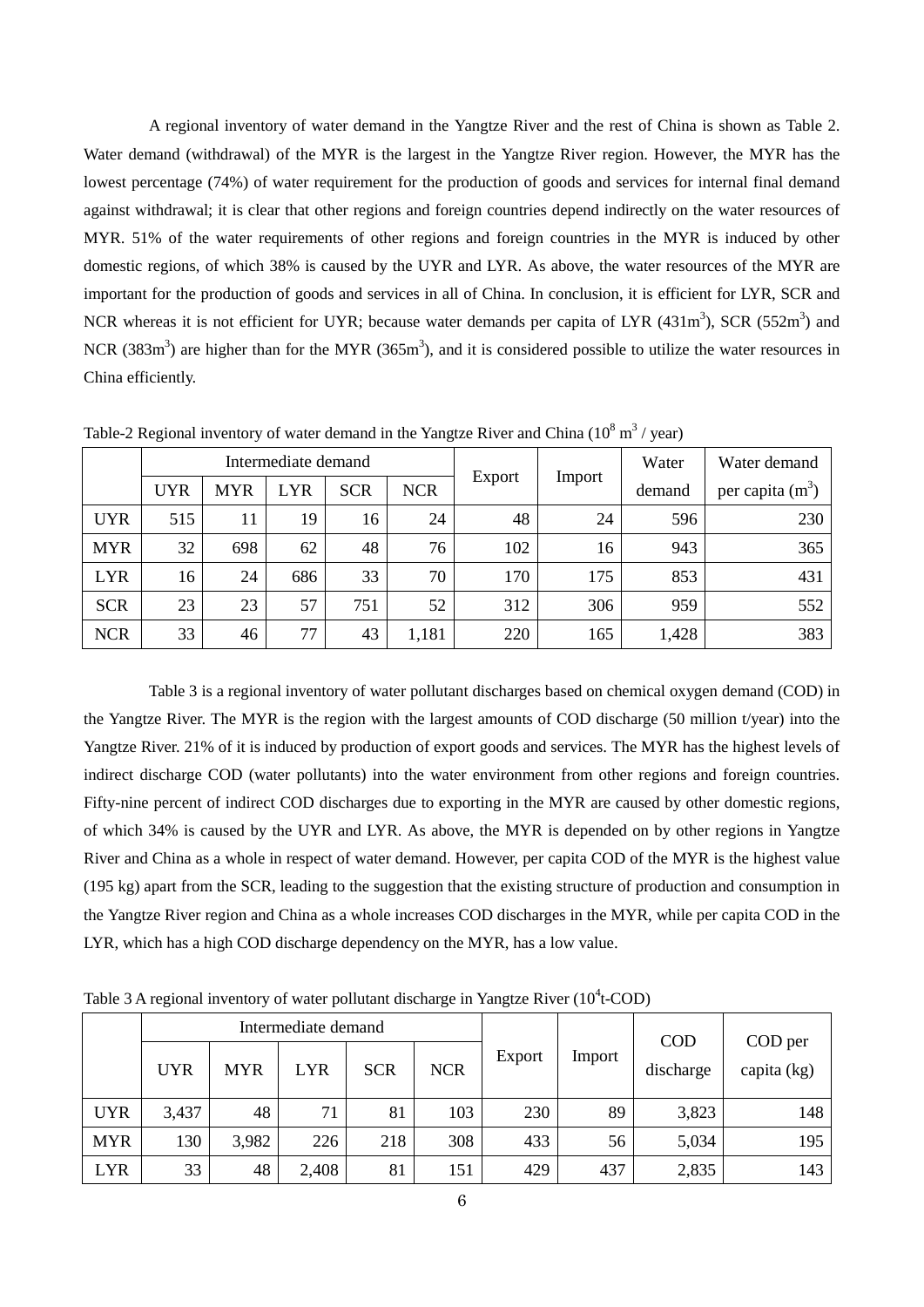A regional inventory of water demand in the Yangtze River and the rest of China is shown as Table 2. Water demand (withdrawal) of the MYR is the largest in the Yangtze River region. However, the MYR has the lowest percentage (74%) of water requirement for the production of goods and services for internal final demand against withdrawal; it is clear that other regions and foreign countries depend indirectly on the water resources of MYR. 51% of the water requirements of other regions and foreign countries in the MYR is induced by other domestic regions, of which 38% is caused by the UYR and LYR. As above, the water resources of the MYR are important for the production of goods and services in all of China. In conclusion, it is efficient for LYR, SCR and NCR whereas it is not efficient for UYR; because water demands per capita of LYR  $(431m<sup>3</sup>)$ , SCR  $(552m<sup>3</sup>)$  and NCR (383 $m<sup>3</sup>$ ) are higher than for the MYR (365 $m<sup>3</sup>$ ), and it is considered possible to utilize the water resources in China efficiently.

|            |            |            | Intermediate demand |            |            |        |        | Water  | Water demand       |
|------------|------------|------------|---------------------|------------|------------|--------|--------|--------|--------------------|
|            | <b>UYR</b> | <b>MYR</b> | LYR                 | <b>SCR</b> | <b>NCR</b> | Export | Import | demand | per capita $(m^3)$ |
| <b>UYR</b> | 515        | 11         | 19                  | 16         | 24         | 48     | 24     | 596    | 230                |
| <b>MYR</b> | 32         | 698        | 62                  | 48         | 76         | 102    | 16     | 943    | 365                |
| <b>LYR</b> | 16         | 24         | 686                 | 33         | 70         | 170    | 175    | 853    | 431                |
| <b>SCR</b> | 23         | 23         | 57                  | 751        | 52         | 312    | 306    | 959    | 552                |
| <b>NCR</b> | 33         | 46         | 77                  | 43         | 1,181      | 220    | 165    | 1,428  | 383                |

Table-2 Regional inventory of water demand in the Yangtze River and China ( $10^8$  m<sup>3</sup> / year)

Table 3 is a regional inventory of water pollutant discharges based on chemical oxygen demand (COD) in the Yangtze River. The MYR is the region with the largest amounts of COD discharge (50 million t/year) into the Yangtze River. 21% of it is induced by production of export goods and services. The MYR has the highest levels of indirect discharge COD (water pollutants) into the water environment from other regions and foreign countries. Fifty-nine percent of indirect COD discharges due to exporting in the MYR are caused by other domestic regions, of which 34% is caused by the UYR and LYR. As above, the MYR is depended on by other regions in Yangtze River and China as a whole in respect of water demand. However, per capita COD of the MYR is the highest value (195 kg) apart from the SCR, leading to the suggestion that the existing structure of production and consumption in the Yangtze River region and China as a whole increases COD discharges in the MYR, while per capita COD in the LYR, which has a high COD discharge dependency on the MYR, has a low value.

Table 3 A regional inventory of water pollutant discharge in Yangtze River ( $10^4$ t-COD)

|            |            |            | Intermediate demand |            |            | Export | Import | <b>COD</b><br>discharge | COD per<br>capita (kg) |
|------------|------------|------------|---------------------|------------|------------|--------|--------|-------------------------|------------------------|
|            | <b>UYR</b> | <b>MYR</b> | <b>LYR</b>          | <b>SCR</b> | <b>NCR</b> |        |        |                         |                        |
| <b>UYR</b> | 3,437      | 48         | 71                  | 81         | 103        | 230    | 89     | 3,823                   | 148                    |
| <b>MYR</b> | 130        | 3,982      | 226                 | 218        | 308        | 433    | 56     | 5,034                   | 195                    |
| <b>LYR</b> | 33         | 48         | 2,408               | 81         | 151        | 429    | 437    | 2,835                   | 143                    |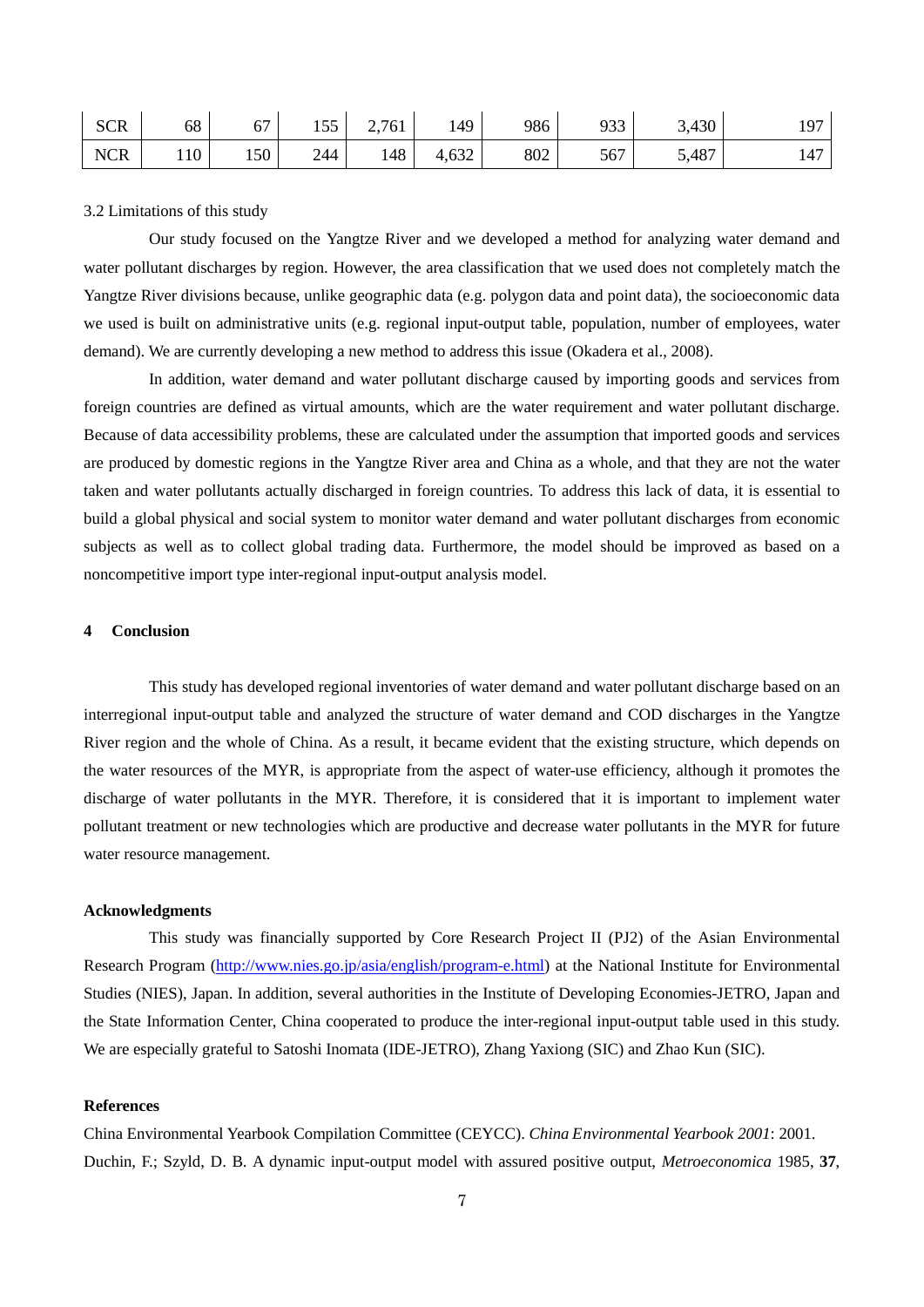| <b>SCR</b> | 68  | --<br>$\mathbf b$ . | $\overline{\phantom{0}}$<br>1 J J | 2,761 | 149             | 986 | 933<br>フソコ | 3,430 | 107<br>., |
|------------|-----|---------------------|-----------------------------------|-------|-----------------|-----|------------|-------|-----------|
| <b>NCR</b> | 110 | 150                 | 244                               | 148   | $\sim$<br>4,632 | 802 | 567        | 5,487 | 14,       |

#### 3.2 Limitations of this study

Our study focused on the Yangtze River and we developed a method for analyzing water demand and water pollutant discharges by region. However, the area classification that we used does not completely match the Yangtze River divisions because, unlike geographic data (e.g. polygon data and point data), the socioeconomic data we used is built on administrative units (e.g. regional input-output table, population, number of employees, water demand). We are currently developing a new method to address this issue (Okadera et al., 2008).

In addition, water demand and water pollutant discharge caused by importing goods and services from foreign countries are defined as virtual amounts, which are the water requirement and water pollutant discharge. Because of data accessibility problems, these are calculated under the assumption that imported goods and services are produced by domestic regions in the Yangtze River area and China as a whole, and that they are not the water taken and water pollutants actually discharged in foreign countries. To address this lack of data, it is essential to build a global physical and social system to monitor water demand and water pollutant discharges from economic subjects as well as to collect global trading data. Furthermore, the model should be improved as based on a noncompetitive import type inter-regional input-output analysis model.

### **4 Conclusion**

This study has developed regional inventories of water demand and water pollutant discharge based on an interregional input-output table and analyzed the structure of water demand and COD discharges in the Yangtze River region and the whole of China. As a result, it became evident that the existing structure, which depends on the water resources of the MYR, is appropriate from the aspect of water-use efficiency, although it promotes the discharge of water pollutants in the MYR. Therefore, it is considered that it is important to implement water pollutant treatment or new technologies which are productive and decrease water pollutants in the MYR for future water resource management.

### **Acknowledgments**

This study was financially supported by Core Research Project II (PJ2) of the Asian Environmental Research Program [\(http://www.nies.go.jp/asia/english/program-e.html\)](http://www.nies.go.jp/asia/english/program-e.html) at the National Institute for Environmental Studies (NIES), Japan. In addition, several authorities in the Institute of Developing Economies-JETRO, Japan and the State Information Center, China cooperated to produce the inter-regional input-output table used in this study. We are especially grateful to Satoshi Inomata (IDE-JETRO), Zhang Yaxiong (SIC) and Zhao Kun (SIC).

#### **References**

China Environmental Yearbook Compilation Committee (CEYCC). *China Environmental Yearbook 2001*: 2001. Duchin, F.; Szyld, D. B. A dynamic input-output model with assured positive output, *Metroeconomica* 1985, **37**,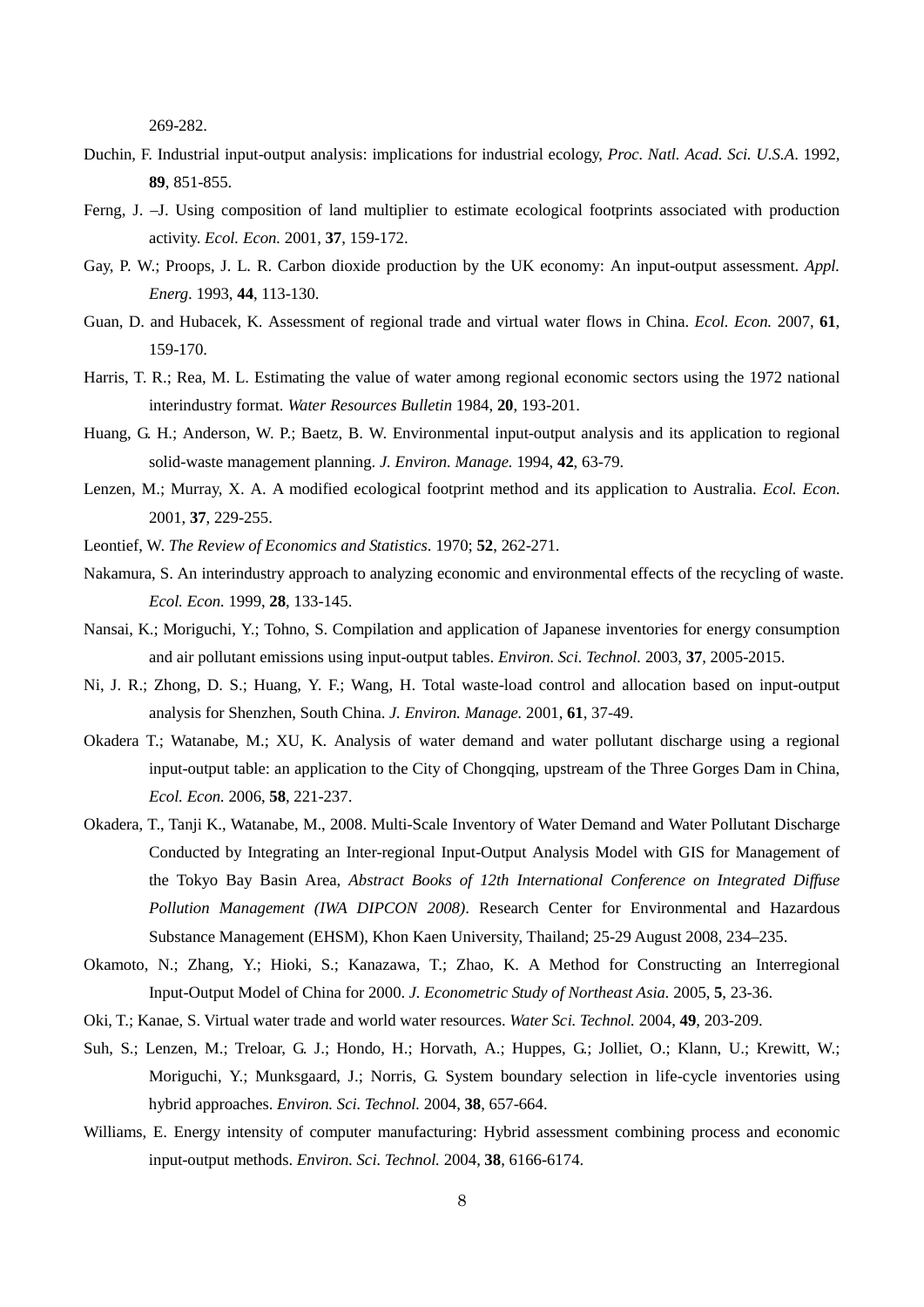269-282.

- Duchin, F. Industrial input-output analysis: implications for industrial ecology, *Proc. Natl. Acad. Sci. U.S.A*. 1992, **89**, 851-855.
- Ferng, J. –J. Using composition of land multiplier to estimate ecological footprints associated with production activity. *Ecol. Econ.* 2001, **37**, 159-172.
- Gay, P. W.; Proops, J. L. R. Carbon dioxide production by the UK economy: An input-output assessment. *Appl. Energ*. 1993, **44**, 113-130.
- Guan, D. and Hubacek, K. Assessment of regional trade and virtual water flows in China. *Ecol. Econ.* 2007, **61**, 159-170.
- Harris, T. R.; Rea, M. L. Estimating the value of water among regional economic sectors using the 1972 national interindustry format. *Water Resources Bulletin* 1984, **20**, 193-201.
- Huang, G. H.; Anderson, W. P.; Baetz, B. W. Environmental input-output analysis and its application to regional solid-waste management planning. *J. Environ. Manage.* 1994, **42**, 63-79.
- Lenzen, M.; Murray, X. A. A modified ecological footprint method and its application to Australia. *Ecol. Econ*. 2001, **37**, 229-255.
- Leontief, W. *The Review of Economics and Statistics*. 1970; **52**, 262-271.
- Nakamura, S. An interindustry approach to analyzing economic and environmental effects of the recycling of waste. *Ecol. Econ.* 1999, **28**, 133-145.
- Nansai, K.; Moriguchi, Y.; Tohno, S. Compilation and application of Japanese inventories for energy consumption and air pollutant emissions using input-output tables. *Environ. Sci. Technol.* 2003, **37**, 2005-2015.
- Ni, J. R.; Zhong, D. S.; Huang, Y. F.; Wang, H. Total waste-load control and allocation based on input-output analysis for Shenzhen, South China. *J. Environ. Manage.* 2001, **61**, 37-49.
- Okadera T.; Watanabe, M.; XU, K. Analysis of water demand and water pollutant discharge using a regional input-output table: an application to the City of Chongqing, upstream of the Three Gorges Dam in China, *Ecol. Econ.* 2006, **58**, 221-237.
- Okadera, T., Tanji K., Watanabe, M., 2008. Multi-Scale Inventory of Water Demand and Water Pollutant Discharge Conducted by Integrating an Inter-regional Input-Output Analysis Model with GIS for Management of the Tokyo Bay Basin Area, *Abstract Books of 12th International Conference on Integrated Diffuse Pollution Management (IWA DIPCON 2008)*. Research Center for Environmental and Hazardous Substance Management (EHSM), Khon Kaen University, Thailand; 25-29 August 2008, 234–235.
- Okamoto, N.; Zhang, Y.; Hioki, S.; Kanazawa, T.; Zhao, K. A Method for Constructing an Interregional Input-Output Model of China for 2000. *J. Econometric Study of Northeast Asia.* 2005, **5**, 23-36.
- Oki, T.; Kanae, S. Virtual water trade and world water resources. *Water Sci. Technol.* 2004, **49**, 203-209.
- Suh, S.; Lenzen, M.; Treloar, G. J.; Hondo, H.; Horvath, A.; Huppes, G.; Jolliet, O.; Klann, U.; Krewitt, W.; Moriguchi, Y.; Munksgaard, J.; Norris, G. System boundary selection in life-cycle inventories using hybrid approaches. *Environ. Sci. Technol.* 2004, **38**, 657-664.
- Williams, E. Energy intensity of computer manufacturing: Hybrid assessment combining process and economic input-output methods. *Environ. Sci. Technol.* 2004, **38**, 6166-6174.